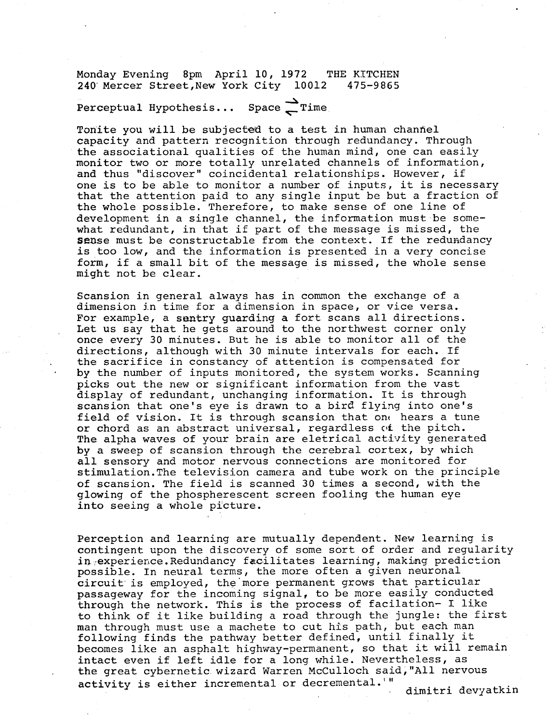Monday Evening 8pm April 10, 1972 THE KITCHEN<br>240 Mercer Street,New York City 10012 475-9865 240 Mercer Street, New York City 10012

Perceptual Hypothesis... Space  $\sum$  Time

Tonite you will be subjected to a test in human channel capacity and pattern recognition through redundancy. Through the associational qualities of the human mind, one can easily monitor two or more totally unrelated channels of information, and thus "discover" coincidental relationships . However, if one is to be able to monitor a number of inputs, it is necessary that the attention paid to any single input be but a fraction of the whole possible. Therefore, to make sense of one line of development in a single channel, the information must-be somewhat redundant, in that if part of the message is missed, the sense must be constructable from the context. If the redundancy is too low, and the information is presented in a very concise form, if a small bit of the message is missed, the whole sense might not be clear .

Scansion in general always has in common the exchange of a dimension in time for a dimension in space, or vice versa . For example, a sentry guarding a fort scans all directions. Let us say that he gets around to the northwest corner only once every 30 minutes. But he is able to monitor all of the directions, although with 30 minute intervals for each. If the sacrifice in constancy of attention is compensated for by the number of inputs monitored, the system works. Scanning picks out the new or significant information from the vast display of redundant, unchanging information. It is through scansion that one's eye is drawn to a bird flying into one's field of vision. It is through scansion that one hears a tune or chord as an abstract universal, regardless of the pitch . The alpha waves of your brain are eletrical activity generated by a sweep of scansion through the cerebral cortex, by which all sensory and motor nervous connections are monitored for stimulation .The television camera and tube work on the principle of scansion. The field is scanned 30 times a second, with the glowing of the phospherescent screen fooling the human eye into seeing a whole picture.

Perception and learning are mutually dependent. New learning is contingent upon the discovery of some sort of order and regularity in experience. Redundancy facilitates learning, making prediction possible. In neural terms, the more often a given neuronal circuit is employed, the'more permanent grows that particular passageway for the incoming signal, to be more easily conducted through the network. This is the process of facilation- I like to think of it like building a road through the jungle: the first man through must use a machete to cut his path, but each man following finds the pathway better defined, until finally it becomes like an asphalt highway-permanent, so that it will remain intact even if left idle for a long while. Nevertheless, as the great cybernetic wizard Warren McCulloch said, "All nervous activity is either incremental or decremental. WH dimitri devyatkin